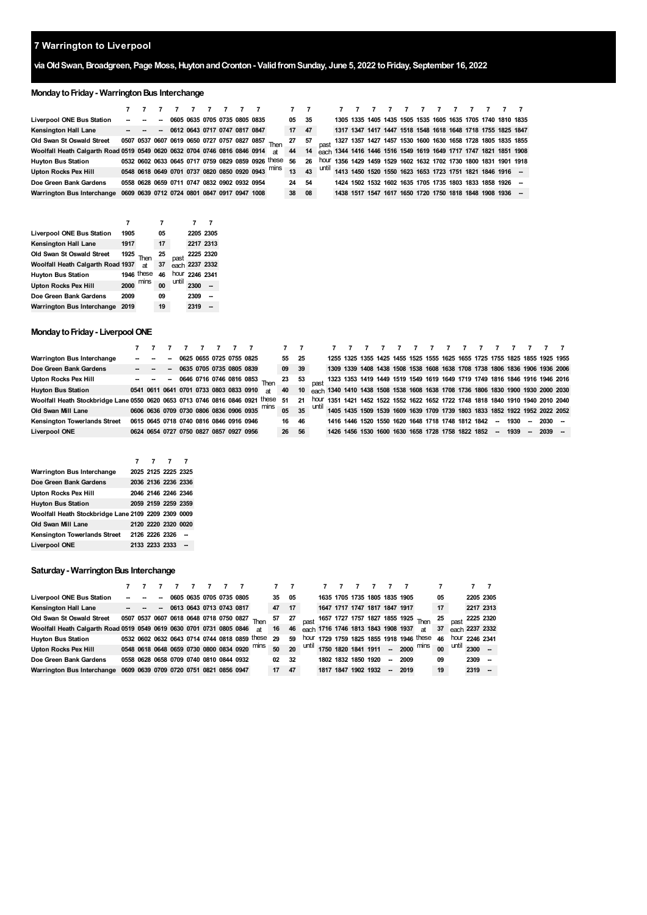# **viaOldSwan,Broadgreen, Page Moss,HuytonandCronton- ValidfromSunday, June 5, 2022 toFriday, September 16, 2022**

# **Monday to Friday - Warrington Bus Interchange**

|                                                                           |  |                          |  |  |                                              | 7 7 7                                             | 7 <sub>7</sub> |    |                                                                     |  |  |  |  |                                                                  |  |
|---------------------------------------------------------------------------|--|--------------------------|--|--|----------------------------------------------|---------------------------------------------------|----------------|----|---------------------------------------------------------------------|--|--|--|--|------------------------------------------------------------------|--|
| Liverpool ONE Bus Station                                                 |  | $\overline{\phantom{a}}$ |  |  | 0605 0635 0705 0735 0805 0835                |                                                   | 05 35          |    |                                                                     |  |  |  |  | 1305 1335 1405 1435 1505 1535 1605 1635 1705 1740 1810 1835      |  |
| <b>Kensington Hall Lane</b>                                               |  |                          |  |  | $  -$ 0612 0643 0717 0747 0817 0847          |                                                   | 17             | 47 |                                                                     |  |  |  |  | 1317 1347 1417 1447 1518 1548 1618 1648 1718 1755 1825 1847      |  |
| Old Swan St Oswald Street                                                 |  |                          |  |  |                                              | 0507 0537 0607 0619 0650 0727 0757 0827 0857 Then | 27 57          |    | past 1327 1357 1427 1457 1530 1600 1630 1658 1728 1805 1835 1855    |  |  |  |  |                                                                  |  |
| Woolfall Heath Calgarth Road 0519 0549 0620 0632 0704 0746 0816 0846 0914 |  |                          |  |  |                                              | <b>at</b>                                         | 44             |    | 14 each 1344 1416 1446 1516 1549 1619 1649 1717 1747 1821 1851 1908 |  |  |  |  |                                                                  |  |
| <b>Huyton Bus Station</b>                                                 |  |                          |  |  | 0532 0602 0633 0645 0717 0759 0829 0859 0926 | these                                             | 56             | 26 |                                                                     |  |  |  |  | hour 1356 1429 1459 1529 1602 1632 1702 1730 1800 1831 1901 1918 |  |
| <b>Upton Rocks Pex Hill</b>                                               |  |                          |  |  |                                              | 0548 0618 0649 0701 0737 0820 0850 0920 0943 mins | 13             |    | $\sim$ 43 until $\sim$                                              |  |  |  |  | 1413 1450 1520 1550 1623 1653 1723 1751 1821 1846 1916 -         |  |
| Doe Green Bank Gardens                                                    |  |                          |  |  | 0558 0628 0659 0711 0747 0832 0902 0932 0954 |                                                   | 24 54          |    |                                                                     |  |  |  |  | 1424 1502 1532 1602 1635 1705 1735 1803 1833 1858 1926 -         |  |
| Warrington Bus Interchange                                                |  |                          |  |  | 0609 0639 0712 0724 0801 0847 0917 0947 1008 |                                                   | 38 08          |    |                                                                     |  |  |  |  | 1438 1517 1547 1617 1650 1720 1750 1818 1848 1908 1936 --        |  |

|                                   |      |            | 7  |       |                |  |
|-----------------------------------|------|------------|----|-------|----------------|--|
| Liverpool ONE Bus Station         | 1905 |            | 05 |       | 2205 2305      |  |
| <b>Kensington Hall Lane</b>       | 1917 |            | 17 |       | 2217 2313      |  |
| Old Swan St Oswald Street         | 1925 | Then       | 25 | past  | 2225 2320      |  |
| Woolfall Heath Calgarth Road 1937 |      | at         | 37 |       | each 2237 2332 |  |
| <b>Huyton Bus Station</b>         |      | 1946 these | 46 |       | hour 2246 2341 |  |
| <b>Upton Rocks Pex Hill</b>       | 2000 | mins       | 00 | until | 2300           |  |
| Doe Green Bank Gardens            | 2009 |            | 09 |       | 2309           |  |
| Warrington Bus Interchange        | 2019 |            | 19 |       | 2319           |  |

## **Monday to Friday - Liverpool ONE**

|                                                                               |                                         |                                                                                                                                                                                                                                     |        |                            |  | 77777                                              | 7 7   |    |                                                                                  |  |                                                                            |  |  |  |      |        |          |  |
|-------------------------------------------------------------------------------|-----------------------------------------|-------------------------------------------------------------------------------------------------------------------------------------------------------------------------------------------------------------------------------------|--------|----------------------------|--|----------------------------------------------------|-------|----|----------------------------------------------------------------------------------|--|----------------------------------------------------------------------------|--|--|--|------|--------|----------|--|
| Warrington Bus Interchange                                                    |                                         | <b>Service</b> Contract Contract Contract Contract Contract Contract Contract Contract Contract Contract Contract Contract Contract Contract Contract Contract Contract Contract Contract Contract Contract Contract Contract Contr | $\sim$ | 0625 0655 0725 0755 0825   |  |                                                    | 55 25 |    |                                                                                  |  | 1255 1325 1355 1425 1455 1525 1555 1625 1655 1725 1755 1825 1855 1925 1955 |  |  |  |      |        |          |  |
| Doe Green Bank Gardens                                                        |                                         | $ -$                                                                                                                                                                                                                                |        | - 0635 0705 0735 0805 0839 |  |                                                    | 09 39 |    | 1309 1339 1408 1438 1508 1538 1608 1638 1708 1738 1806 1836 1906 1936 2006       |  |                                                                            |  |  |  |      |        |          |  |
| <b>Upton Rocks Pex Hill</b>                                                   |                                         |                                                                                                                                                                                                                                     |        |                            |  | $- - -$ - 0646 0716 0746 0816 0853 Then            | 23 53 |    | past 1323 1353 1419 1449 1519 1549 1619 1649 1719 1749 1816 1846 1916 1946 2016  |  |                                                                            |  |  |  |      |        |          |  |
| <b>Huyton Bus Station</b>                                                     | 0541 0611 0641 0701 0733 0803 0833 0910 |                                                                                                                                                                                                                                     |        |                            |  | 2th                                                | 40    | 10 | each 1340 1410 1438 1508 1538 1608 1638 1708 1736 1806 1830 1900 1930 2000 2030  |  |                                                                            |  |  |  |      |        |          |  |
| Woolfall Heath Stockbridge Lane 0550 0620 0653 0713 0746 0816 0846 0921 these |                                         |                                                                                                                                                                                                                                     |        |                            |  |                                                    | -51   | 21 | hour 1351 1421 1452 1522 1552 1622 1652 1722 1748 1818 1840 1910 1940 2010 2040  |  |                                                                            |  |  |  |      |        |          |  |
| Old Swan Mill Lane                                                            |                                         |                                                                                                                                                                                                                                     |        |                            |  | 0606 0636 0709 0730 0806 0836 0906 0935 Mins 05 35 |       |    | until 1405 1435 1509 1539 1609 1639 1709 1739 1803 1833 1852 1922 1952 2022 2052 |  |                                                                            |  |  |  |      |        |          |  |
| Kensington Towerlands Street                                                  | 0615 0645 0718 0740 0816 0846 0916 0946 |                                                                                                                                                                                                                                     |        |                            |  |                                                    | 16 46 |    |                                                                                  |  | 1416 1446 1520 1550 1620 1648 1718 1748 1812 1842 -- 1930                  |  |  |  |      | $\sim$ | $2030 -$ |  |
| Liverpool ONE                                                                 | 0624 0654 0727 0750 0827 0857 0927 0956 |                                                                                                                                                                                                                                     |        |                            |  |                                                    | 26 56 |    |                                                                                  |  | 1426 1456 1530 1600 1630 1658 1728 1758 1822 1852 -                        |  |  |  | 1939 | $\sim$ | $2039 -$ |  |

|                                                     |  | 7777                |  |
|-----------------------------------------------------|--|---------------------|--|
| Warrington Bus Interchange                          |  | 2025 2125 2225 2325 |  |
| Doe Green Bank Gardens                              |  | 2036 2136 2236 2336 |  |
| Upton Rocks Pex Hill                                |  | 2046 2146 2246 2346 |  |
| <b>Huyton Bus Station</b>                           |  | 2059 2159 2259 2359 |  |
| Woolfall Heath Stockbridge Lane 2109 2209 2309 0009 |  |                     |  |
| Old Swan Mill Lane                                  |  | 2120 2220 2320 0020 |  |
| Kensington Towerlands Street 2126 2226 2326         |  |                     |  |
| Liverpool ONE                                       |  | 2133 2233 2333 -    |  |

### **Saturday - Warrington Bus Interchange**

| Liverpool ONE Bus Station                                            |                   |                                         | $\sim$ |  |  | 0605 0635 0705 0735 0805 |                                               | 35 | 05              |                                         |                     | 1635 1705 1735 1805 1835 1905 |    |      |                                          | 05 |       | 2205 2305      |                |
|----------------------------------------------------------------------|-------------------|-----------------------------------------|--------|--|--|--------------------------|-----------------------------------------------|----|-----------------|-----------------------------------------|---------------------|-------------------------------|----|------|------------------------------------------|----|-------|----------------|----------------|
| <b>Kensington Hall Lane</b>                                          | $\sim$ 100 $\sim$ |                                         |        |  |  | $-06130643071307430817$  |                                               | 47 | 17 <sup>2</sup> |                                         |                     | 1647 1717 1747 1817 1847 1917 |    |      |                                          | 17 |       | 2217 2313      |                |
| Old Swan St Oswald Street                                            |                   | 0507 0537 0607 0618 0648 0718 0750 0827 |        |  |  |                          |                                               | 57 | - 27            | past 1657 1727 1757 1827 1855 1925 Then |                     |                               |    |      |                                          | 25 |       | 2225 2320      |                |
| Woolfall Heath Calgarth Road 0519 0549 0619 0630 0701 0731 0805 0846 |                   |                                         |        |  |  |                          | at                                            | 16 | 46              | each 1716 1746 1813 1843 1908 1937      |                     |                               |    |      | at                                       | 37 |       |                | each 2237 2332 |
| <b>Huyton Bus Station</b>                                            |                   |                                         |        |  |  |                          | 0532 0602 0632 0643 0714 0744 0818 0859 these | 29 | 59              |                                         |                     |                               |    |      | hour 1729 1759 1825 1855 1918 1946 these | 46 |       | hour 2246 2341 |                |
| <b>Upton Rocks Pex Hill</b>                                          |                   |                                         |        |  |  |                          | 0548 0618 0648 0659 0730 0800 0834 0920 mins  | 50 | 20              |                                         |                     |                               |    |      | until $1750$ 1820 1841 1911 - 2000 mins  | 00 | until | $2300 -$       |                |
| Doe Green Bank Gardens                                               |                   | 0558 0628 0658 0709 0740 0810 0844 0932 |        |  |  |                          |                                               | 02 | - 32            |                                         | 1802 1832 1850 1920 |                               | -  | 2009 |                                          | 09 |       | 2309           |                |
| <b>Warrington Bus Interchange</b>                                    |                   | 0609 0639 0709 0720 0751 0821 0856 0947 |        |  |  |                          |                                               | 17 | 47              |                                         | 1817 1847 1902 1932 |                               | -- | 2019 |                                          | 19 |       | 2319           |                |